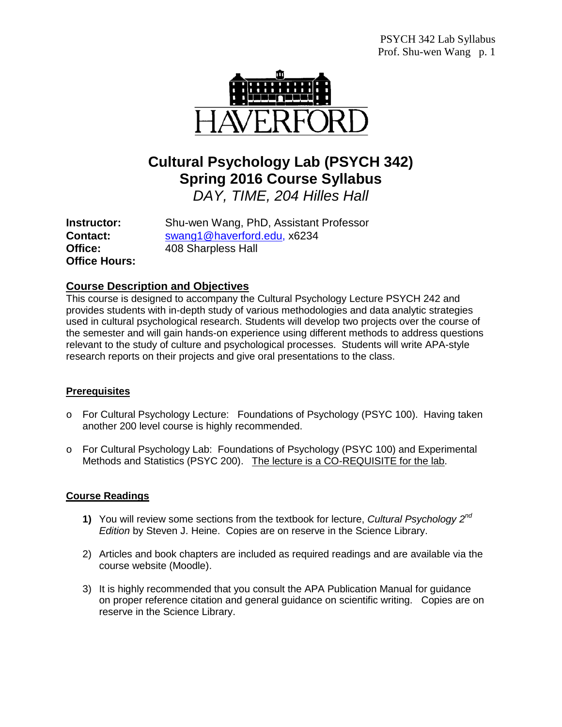

# **Cultural Psychology Lab (PSYCH 342) Spring 2016 Course Syllabus**

*DAY, TIME, 204 Hilles Hall*

**Office Hours:**

**Instructor:** Shu-wen Wang, PhD, Assistant Professor **Contact:** [swang1@haverford.edu,](mailto:swang1@haverford.edu) x6234<br> **Office:** 408 Sharpless Hall **Office:** 408 Sharpless Hall

## **Course Description and Objectives**

This course is designed to accompany the Cultural Psychology Lecture PSYCH 242 and provides students with in-depth study of various methodologies and data analytic strategies used in cultural psychological research. Students will develop two projects over the course of the semester and will gain hands-on experience using different methods to address questions relevant to the study of culture and psychological processes. Students will write APA-style research reports on their projects and give oral presentations to the class.

## **Prerequisites**

- o For Cultural Psychology Lecture: Foundations of Psychology (PSYC 100). Having taken another 200 level course is highly recommended.
- o For Cultural Psychology Lab: Foundations of Psychology (PSYC 100) and Experimental Methods and Statistics (PSYC 200). The lecture is a CO-REQUISITE for the lab.

## **Course Readings**

- **1)** You will review some sections from the textbook for lecture, *Cultural Psychology 2nd Edition* by Steven J. Heine. Copies are on reserve in the Science Library.
- 2) Articles and book chapters are included as required readings and are available via the course website (Moodle).
- 3) It is highly recommended that you consult the APA Publication Manual for guidance on proper reference citation and general guidance on scientific writing. Copies are on reserve in the Science Library.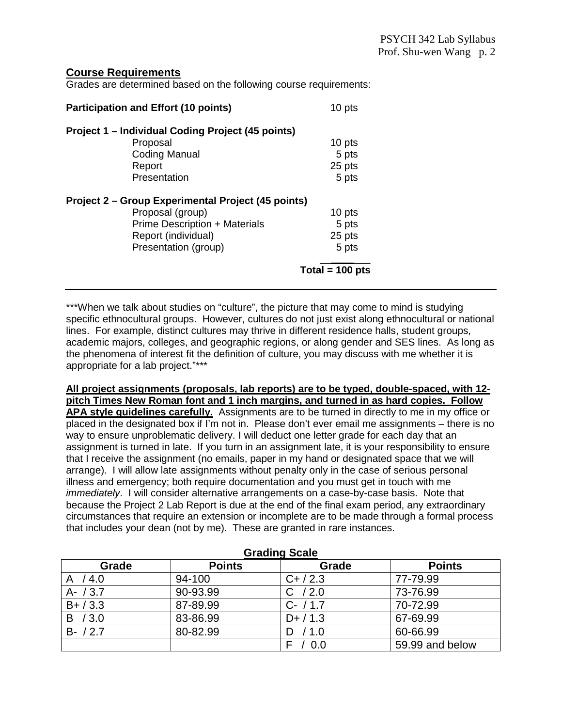#### **Course Requirements**

Grades are determined based on the following course requirements:

| <b>Participation and Effort (10 points)</b>        | 10 pts            |
|----------------------------------------------------|-------------------|
| Project 1 - Individual Coding Project (45 points)  |                   |
| Proposal                                           | 10 pts            |
| <b>Coding Manual</b>                               | 5 pts             |
| Report                                             | 25 pts            |
| Presentation                                       | 5 pts             |
| Project 2 – Group Experimental Project (45 points) |                   |
| Proposal (group)                                   | 10 pts            |
| Prime Description + Materials                      | 5 pts             |
| Report (individual)                                | 25 pts            |
| Presentation (group)                               | 5 pts             |
|                                                    | Total = $100$ pts |

\*\*\*When we talk about studies on "culture", the picture that may come to mind is studying specific ethnocultural groups. However, cultures do not just exist along ethnocultural or national lines. For example, distinct cultures may thrive in different residence halls, student groups, academic majors, colleges, and geographic regions, or along gender and SES lines. As long as the phenomena of interest fit the definition of culture, you may discuss with me whether it is appropriate for a lab project."\*\*\*

**All project assignments (proposals, lab reports) are to be typed, double-spaced, with 12 pitch Times New Roman font and 1 inch margins, and turned in as hard copies. Follow APA style guidelines carefully.** Assignments are to be turned in directly to me in my office or placed in the designated box if I'm not in. Please don't ever email me assignments – there is no way to ensure unproblematic delivery. I will deduct one letter grade for each day that an assignment is turned in late. If you turn in an assignment late, it is your responsibility to ensure that I receive the assignment (no emails, paper in my hand or designated space that we will arrange). I will allow late assignments without penalty only in the case of serious personal illness and emergency; both require documentation and you must get in touch with me *immediately*. I will consider alternative arrangements on a case-by-case basis. Note that because the Project 2 Lab Report is due at the end of the final exam period, any extraordinary circumstances that require an extension or incomplete are to be made through a formal process that includes your dean (not by me). These are granted in rare instances.

| <b>Pradition</b> Ocald |               |             |                 |  |
|------------------------|---------------|-------------|-----------------|--|
| Grade                  | <b>Points</b> | Grade       | <b>Points</b>   |  |
| /4.0                   | 94-100        | $C+ / 2.3$  | 77-79.99        |  |
| $A - / 3.7$            | 90-93.99      | /2.0<br>C.  | 73-76.99        |  |
| $B+ / 3.3$             | 87-89.99      | $C - / 1.7$ | 70-72.99        |  |
| B / 3.0                | 83-86.99      | $D+ / 1.3$  | 67-69.99        |  |
| $B - / 2.7$            | 80-82.99      | / 1.0       | 60-66.99        |  |
|                        |               | 0.0         | 59.99 and below |  |

**Grading Scale**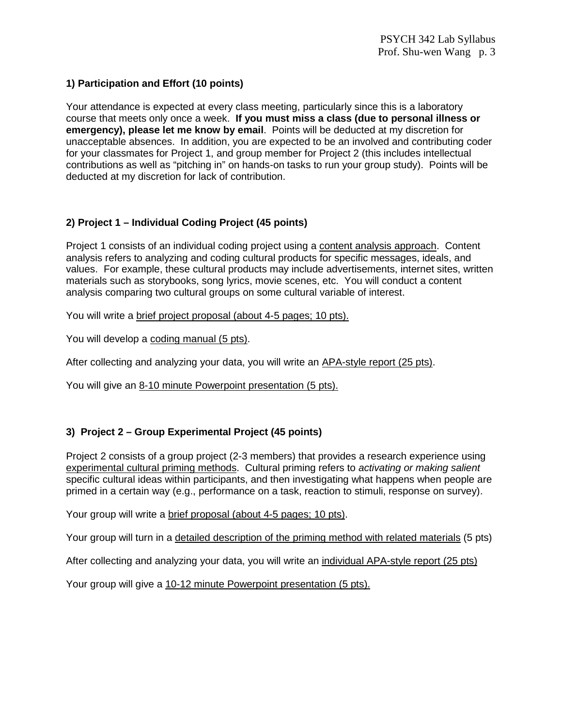#### **1) Participation and Effort (10 points)**

Your attendance is expected at every class meeting, particularly since this is a laboratory course that meets only once a week. **If you must miss a class (due to personal illness or emergency), please let me know by email**. Points will be deducted at my discretion for unacceptable absences. In addition, you are expected to be an involved and contributing coder for your classmates for Project 1, and group member for Project 2 (this includes intellectual contributions as well as "pitching in" on hands-on tasks to run your group study). Points will be deducted at my discretion for lack of contribution.

## **2) Project 1 – Individual Coding Project (45 points)**

Project 1 consists of an individual coding project using a content analysis approach. Content analysis refers to analyzing and coding cultural products for specific messages, ideals, and values. For example, these cultural products may include advertisements, internet sites, written materials such as storybooks, song lyrics, movie scenes, etc. You will conduct a content analysis comparing two cultural groups on some cultural variable of interest.

You will write a brief project proposal (about 4-5 pages; 10 pts).

You will develop a coding manual (5 pts).

After collecting and analyzing your data, you will write an APA-style report (25 pts).

You will give an 8-10 minute Powerpoint presentation (5 pts).

#### **3) Project 2 – Group Experimental Project (45 points)**

Project 2 consists of a group project (2-3 members) that provides a research experience using experimental cultural priming methods. Cultural priming refers to *activating or making salient* specific cultural ideas within participants, and then investigating what happens when people are primed in a certain way (e.g., performance on a task, reaction to stimuli, response on survey).

Your group will write a brief proposal (about 4-5 pages; 10 pts).

Your group will turn in a detailed description of the priming method with related materials (5 pts)

After collecting and analyzing your data, you will write an individual APA-style report (25 pts)

Your group will give a 10-12 minute Powerpoint presentation (5 pts).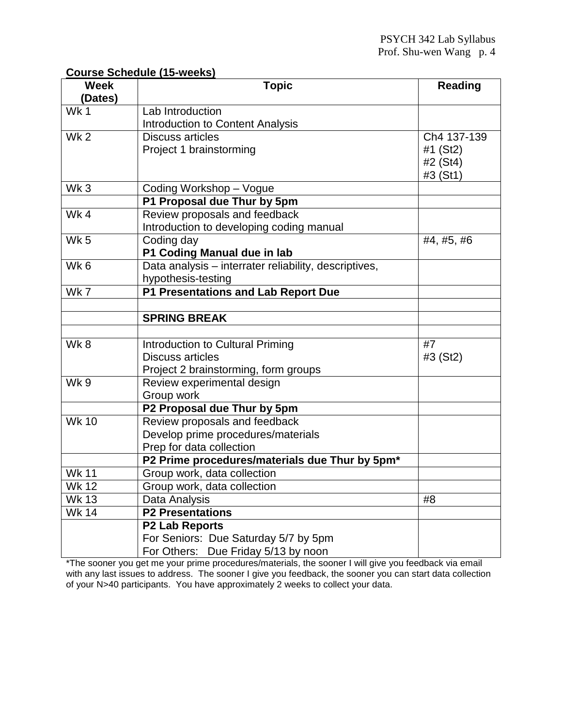## **Course Schedule (15-weeks)**

| <b>Week</b>     | <b>Topic</b>                                          | <b>Reading</b> |
|-----------------|-------------------------------------------------------|----------------|
| (Dates)         |                                                       |                |
| Wk1             | Lab Introduction                                      |                |
|                 | Introduction to Content Analysis                      |                |
| Wk <sub>2</sub> | <b>Discuss articles</b>                               | Ch4 137-139    |
|                 | Project 1 brainstorming                               | #1 (St2)       |
|                 |                                                       | #2 (St4)       |
|                 |                                                       | #3 (St1)       |
| Wk3             | Coding Workshop - Vogue                               |                |
|                 | P1 Proposal due Thur by 5pm                           |                |
| Wk4             | Review proposals and feedback                         |                |
|                 | Introduction to developing coding manual              |                |
| Wk <sub>5</sub> | Coding day                                            | #4, #5, #6     |
|                 | P1 Coding Manual due in lab                           |                |
| Wk <sub>6</sub> | Data analysis - interrater reliability, descriptives, |                |
|                 | hypothesis-testing                                    |                |
| Wk7             | P1 Presentations and Lab Report Due                   |                |
|                 |                                                       |                |
|                 | <b>SPRING BREAK</b>                                   |                |
|                 |                                                       |                |
| Wk8             | Introduction to Cultural Priming                      | #7             |
|                 | <b>Discuss articles</b>                               | #3 (St2)       |
|                 | Project 2 brainstorming, form groups                  |                |
| Wk 9            | Review experimental design                            |                |
|                 | Group work                                            |                |
|                 | P2 Proposal due Thur by 5pm                           |                |
| <b>Wk 10</b>    | Review proposals and feedback                         |                |
|                 | Develop prime procedures/materials                    |                |
|                 | Prep for data collection                              |                |
|                 | P2 Prime procedures/materials due Thur by 5pm*        |                |
| <b>Wk 11</b>    | Group work, data collection                           |                |
| <b>Wk 12</b>    | Group work, data collection                           |                |
| <b>Wk 13</b>    | Data Analysis                                         | #8             |
| <b>Wk 14</b>    | <b>P2 Presentations</b>                               |                |
|                 | <b>P2 Lab Reports</b>                                 |                |
|                 | For Seniors: Due Saturday 5/7 by 5pm                  |                |
|                 | For Others: Due Friday 5/13 by noon                   |                |

\*The sooner you get me your prime procedures/materials, the sooner I will give you feedback via email with any last issues to address. The sooner I give you feedback, the sooner you can start data collection of your N>40 participants. You have approximately 2 weeks to collect your data.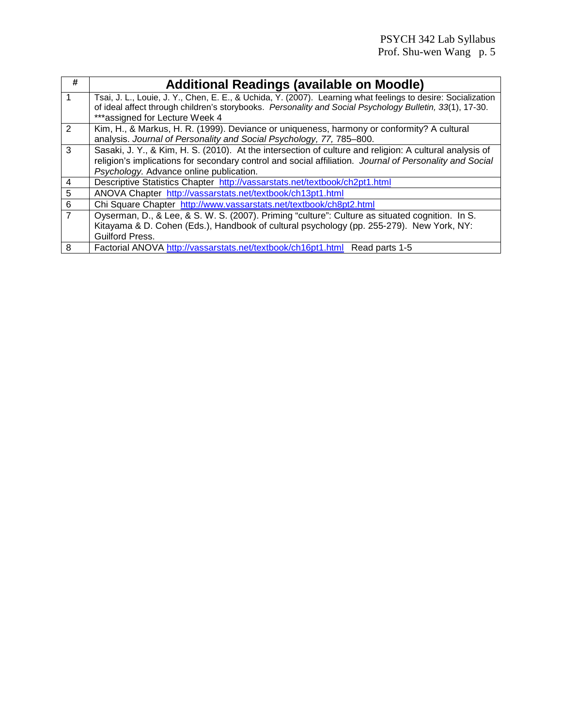| #               | <b>Additional Readings (available on Moodle)</b>                                                             |
|-----------------|--------------------------------------------------------------------------------------------------------------|
|                 | Tsai, J. L., Louie, J. Y., Chen, E. E., & Uchida, Y. (2007). Learning what feelings to desire: Socialization |
|                 | of ideal affect through children's storybooks. Personality and Social Psychology Bulletin, 33(1), 17-30.     |
|                 | ***assigned for Lecture Week 4                                                                               |
| $\mathcal{P}$   | Kim, H., & Markus, H. R. (1999). Deviance or uniqueness, harmony or conformity? A cultural                   |
|                 | analysis. Journal of Personality and Social Psychology, 77, 785-800.                                         |
| 3               | Sasaki, J. Y., & Kim, H. S. (2010). At the intersection of culture and religion: A cultural analysis of      |
|                 | religion's implications for secondary control and social affiliation. Journal of Personality and Social      |
|                 | Psychology. Advance online publication.                                                                      |
| 4               | Descriptive Statistics Chapter http://vassarstats.net/textbook/ch2pt1.html                                   |
| 5               | ANOVA Chapter http://vassarstats.net/textbook/ch13pt1.html                                                   |
| $6\phantom{1}6$ | Chi Square Chapter http://www.vassarstats.net/textbook/ch8pt2.html                                           |
|                 | Oyserman, D., & Lee, & S. W. S. (2007). Priming "culture": Culture as situated cognition. In S.              |
|                 | Kitayama & D. Cohen (Eds.), Handbook of cultural psychology (pp. 255-279). New York, NY:                     |
|                 | Guilford Press.                                                                                              |
| 8               | Factorial ANOVA http://vassarstats.net/textbook/ch16pt1.html Read parts 1-5                                  |